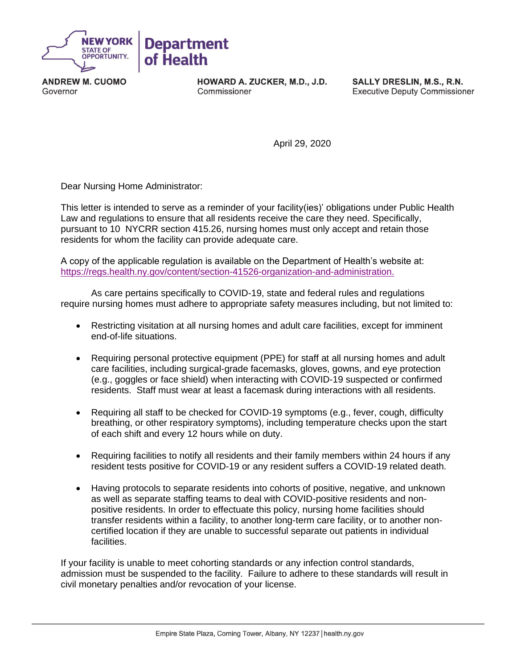

**ANDREW M. CUOMO** Governor

HOWARD A. ZUCKER, M.D., J.D. Commissioner

SALLY DRESLIN, M.S., R.N. **Executive Deputy Commissioner** 

April 29, 2020

Dear Nursing Home Administrator:

This letter is intended to serve as a reminder of your facility(ies)' obligations under Public Health Law and regulations to ensure that all residents receive the care they need. Specifically, pursuant to 10 NYCRR section 415.26, nursing homes must only accept and retain those residents for whom the facility can provide adequate care.

A copy of the applicable regulation is available on the Department of Health's website at: [https://regs.health.ny.gov/content/section-41526-organization-and-administration.](https://regs.health.ny.gov/content/section-41526-organization-and-administration)

As care pertains specifically to COVID-19, state and federal rules and regulations require nursing homes must adhere to appropriate safety measures including, but not limited to:

- Restricting visitation at all nursing homes and adult care facilities, except for imminent end-of-life situations.
- Requiring personal protective equipment (PPE) for staff at all nursing homes and adult care facilities, including surgical-grade facemasks, gloves, gowns, and eye protection (e.g., goggles or face shield) when interacting with COVID-19 suspected or confirmed residents. Staff must wear at least a facemask during interactions with all residents.
- Requiring all staff to be checked for COVID-19 symptoms (e.g., fever, cough, difficulty breathing, or other respiratory symptoms), including temperature checks upon the start of each shift and every 12 hours while on duty.
- Requiring facilities to notify all residents and their family members within 24 hours if any resident tests positive for COVID-19 or any resident suffers a COVID-19 related death.
- Having protocols to separate residents into cohorts of positive, negative, and unknown as well as separate staffing teams to deal with COVID-positive residents and nonpositive residents. In order to effectuate this policy, nursing home facilities should transfer residents within a facility, to another long-term care facility, or to another noncertified location if they are unable to successful separate out patients in individual facilities.

If your facility is unable to meet cohorting standards or any infection control standards, admission must be suspended to the facility. Failure to adhere to these standards will result in civil monetary penalties and/or revocation of your license.